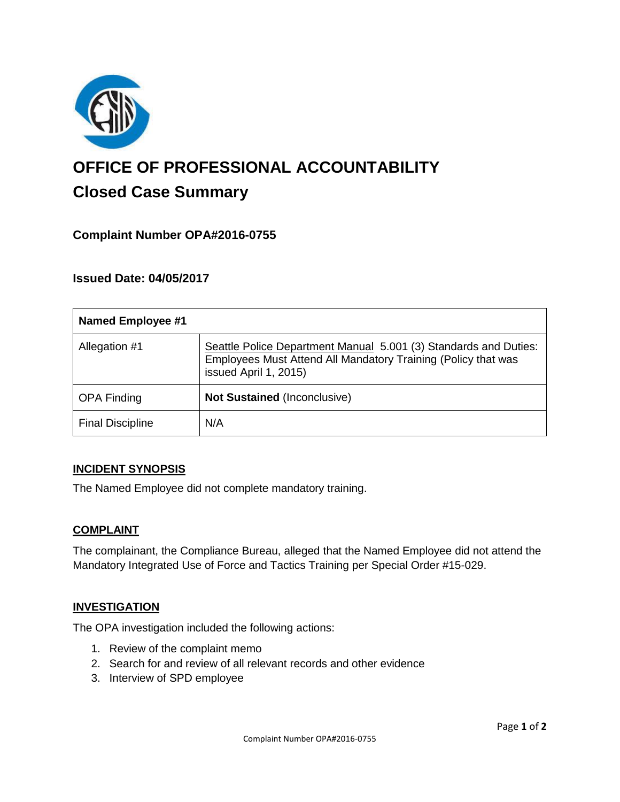

# **OFFICE OF PROFESSIONAL ACCOUNTABILITY Closed Case Summary**

# **Complaint Number OPA#2016-0755**

### **Issued Date: 04/05/2017**

| <b>Named Employee #1</b> |                                                                                                                                                            |
|--------------------------|------------------------------------------------------------------------------------------------------------------------------------------------------------|
| Allegation #1            | Seattle Police Department Manual 5.001 (3) Standards and Duties:<br>Employees Must Attend All Mandatory Training (Policy that was<br>issued April 1, 2015) |
| <b>OPA Finding</b>       | <b>Not Sustained (Inconclusive)</b>                                                                                                                        |
| <b>Final Discipline</b>  | N/A                                                                                                                                                        |

#### **INCIDENT SYNOPSIS**

The Named Employee did not complete mandatory training.

#### **COMPLAINT**

The complainant, the Compliance Bureau, alleged that the Named Employee did not attend the Mandatory Integrated Use of Force and Tactics Training per Special Order #15-029.

#### **INVESTIGATION**

The OPA investigation included the following actions:

- 1. Review of the complaint memo
- 2. Search for and review of all relevant records and other evidence
- 3. Interview of SPD employee